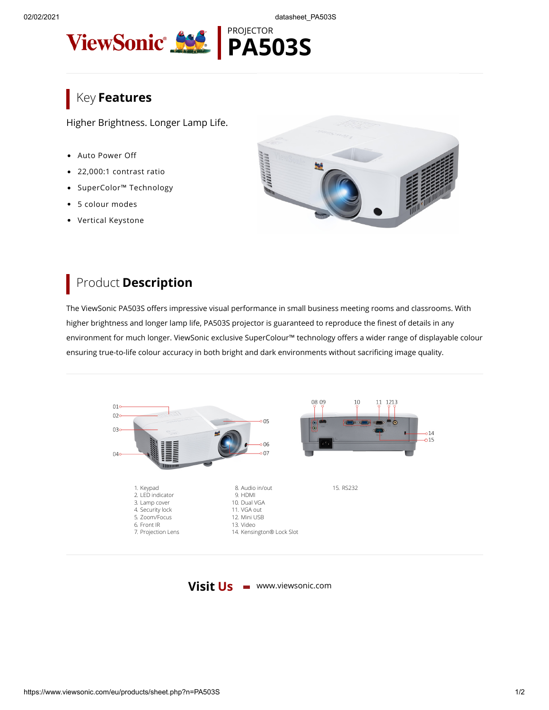02/02/2021 datasheet\_PA503S



## Key **Features**

Higher Brightness. Longer Lamp Life.

- Auto Power Off
- 22,000:1 contrast ratio
- SuperColor™ Technology
- 5 colour modes
- Vertical Keystone



## Product **Description**

The ViewSonic PA503S offers impressive visual performance in small business meeting rooms and classrooms. With higher brightness and longer lamp life, PA503S projector is guaranteed to reproduce the finest of details in any environment for much longer. ViewSonic exclusive SuperColour™ technology offers a wider range of displayable colour ensuring true-to-life colour accuracy in both bright and dark environments without sacrificing image quality.